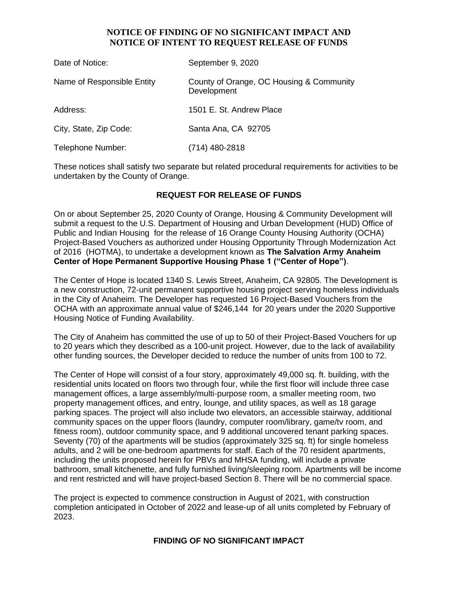#### **NOTICE OF FINDING OF NO SIGNIFICANT IMPACT AND NOTICE OF INTENT TO REQUEST RELEASE OF FUNDS**

| Date of Notice:            | September 9, 2020                                       |
|----------------------------|---------------------------------------------------------|
| Name of Responsible Entity | County of Orange, OC Housing & Community<br>Development |
| Address:                   | 1501 E. St. Andrew Place                                |
| City, State, Zip Code:     | Santa Ana, CA 92705                                     |
| Telephone Number:          | (714) 480-2818                                          |

These notices shall satisfy two separate but related procedural requirements for activities to be undertaken by the County of Orange.

## **REQUEST FOR RELEASE OF FUNDS**

On or about September 25, 2020 County of Orange, Housing & Community Development will submit a request to the U.S. Department of Housing and Urban Development (HUD) Office of Public and Indian Housing for the release of 16 Orange County Housing Authority (OCHA) Project-Based Vouchers as authorized under Housing Opportunity Through Modernization Act of 2016 (HOTMA), to undertake a development known as **The Salvation Army Anaheim Center of Hope Permanent Supportive Housing Phase 1 ("Center of Hope")**.

The Center of Hope is located 1340 S. Lewis Street, Anaheim, CA 92805. The Development is a new construction, 72-unit permanent supportive housing project serving homeless individuals in the City of Anaheim. The Developer has requested 16 Project-Based Vouchers from the OCHA with an approximate annual value of \$246,144 for 20 years under the 2020 Supportive Housing Notice of Funding Availability.

The City of Anaheim has committed the use of up to 50 of their Project-Based Vouchers for up to 20 years which they described as a 100-unit project. However, due to the lack of availability other funding sources, the Developer decided to reduce the number of units from 100 to 72.

The Center of Hope will consist of a four story, approximately 49,000 sq. ft. building, with the residential units located on floors two through four, while the first floor will include three case management offices, a large assembly/multi-purpose room, a smaller meeting room, two property management offices, and entry, lounge, and utility spaces, as well as 18 garage parking spaces. The project will also include two elevators, an accessible stairway, additional community spaces on the upper floors (laundry, computer room/library, game/tv room, and fitness room), outdoor community space, and 9 additional uncovered tenant parking spaces. Seventy (70) of the apartments will be studios (approximately 325 sq. ft) for single homeless adults, and 2 will be one-bedroom apartments for staff. Each of the 70 resident apartments, including the units proposed herein for PBVs and MHSA funding, will include a private bathroom, small kitchenette, and fully furnished living/sleeping room. Apartments will be income and rent restricted and will have project-based Section 8. There will be no commercial space.

The project is expected to commence construction in August of 2021, with construction completion anticipated in October of 2022 and lease-up of all units completed by February of 2023.

## **FINDING OF NO SIGNIFICANT IMPACT**